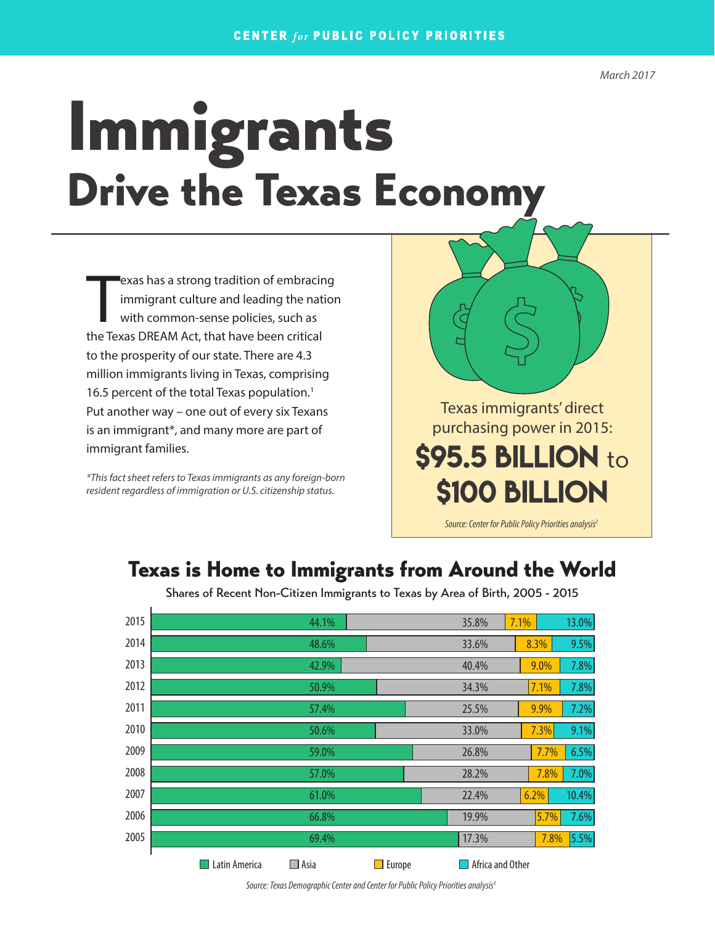# Immigrants Drive the Texas Economy

**Exas has a strong tradition of embracir**<br>
immigrant culture and leading the nat<br>
with common-sense policies, such as<br>
the Texas DREAM Act, that have been critical exas has a strong tradition of embracing immigrant culture and leading the nation with common-sense policies, such as to the prosperity of our state. There are 4.3 million immigrants living in Texas, comprising 16.5 percent of the total Texas population.<sup>1</sup> Put another way – one out of every six Texans is an immigrant\*, and many more are part of immigrant families.

*\*This fact sheet refers to Texas immigrants as any foreign-born resident regardless of immigration or U.S. citizenship status.*

# Texas immigrants' direct purchasing power in 2015: **\$95.5 BILLION to** \$100 billion

*Source: Center for Public Policy Priorities analysis2*

### Texas is Home to Immigrants from Around the World

| 2015 | 44.1%                           |        | 35.8% | 7.1%             | 13.0%        |
|------|---------------------------------|--------|-------|------------------|--------------|
| 2014 | 48.6%                           |        | 33.6% | 8.3%             | 9.5%         |
| 2013 | 42.9%                           |        | 40.4% | 9.0%             | 7.8%         |
| 2012 | 50.9%                           |        | 34.3% | 7.1%             | 7.8%         |
| 2011 | 57.4%                           |        | 25.5% | 9.9%             | 7.2%         |
| 2010 | 50.6%                           |        | 33.0% | 7.3%             | 9.1%         |
| 2009 | 59.0%                           |        | 26.8% |                  | 6.5%<br>7.7% |
| 2008 | 57.0%                           |        | 28.2% |                  | 7.0%<br>7.8% |
| 2007 | 61.0%                           |        | 22.4% | 6.2%             | 10.4%        |
| 2006 | 66.8%                           |        | 19.9% |                  | 5.7%<br>7.6% |
| 2005 | 69.4%                           |        | 17.3% |                  | 5.5%<br>7.8% |
|      | $\square$ Asia<br>Latin America | Europe |       | Africa and Other |              |

Shares of Recent Non-Citizen Immigrants to Texas by Area of Birth, 2005 - 2015

*Source: Texas Demographic Center and Center for Public Policy Priorities analysis3*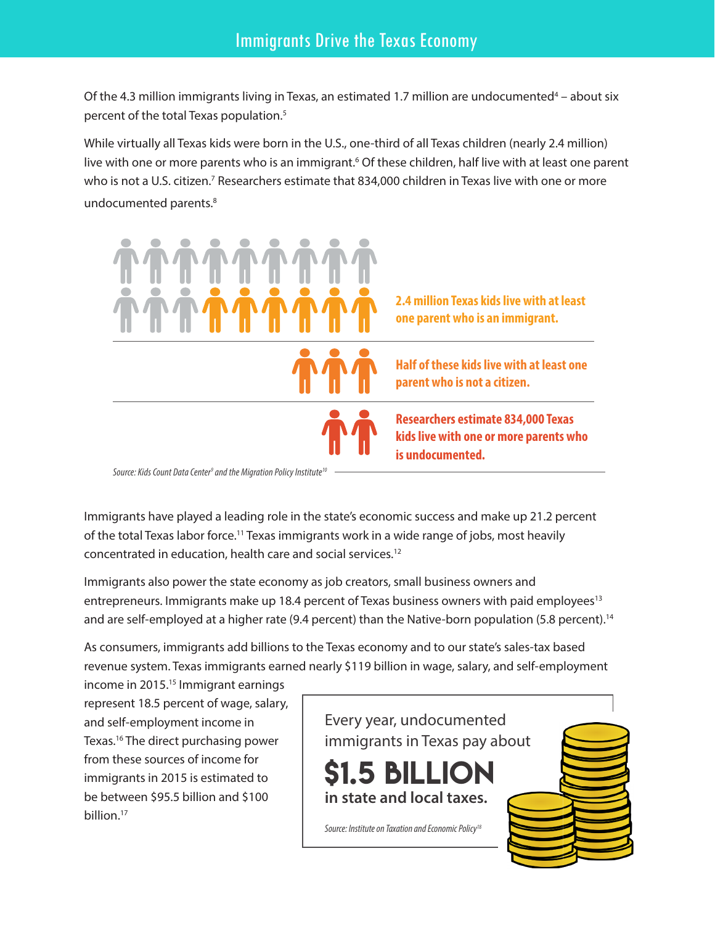Of the 4.3 million immigrants living in Texas, an estimated 1.7 million are undocumented<sup>4</sup> – about six percent of the total Texas population.<sup>5</sup>

While virtually all Texas kids were born in the U.S., one-third of all Texas children (nearly 2.4 million) live with one or more parents who is an immigrant.<sup>6</sup> Of these children, half live with at least one parent who is not a U.S. citizen.<sup>7</sup> Researchers estimate that 834,000 children in Texas live with one or more undocumented parents.<sup>8</sup>



*Source: Kids Count Data Center9 and the Migration Policy Institute10*

Immigrants have played a leading role in the state's economic success and make up 21.2 percent of the total Texas labor force.<sup>11</sup> Texas immigrants work in a wide range of jobs, most heavily concentrated in education, health care and social services.12

Immigrants also power the state economy as job creators, small business owners and entrepreneurs. Immigrants make up 18.4 percent of Texas business owners with paid employees<sup>13</sup> and are self-employed at a higher rate (9.4 percent) than the Native-born population (5.8 percent).<sup>14</sup>

As consumers, immigrants add billions to the Texas economy and to our state's sales-tax based revenue system. Texas immigrants earned nearly \$119 billion in wage, salary, and self-employment

income in 2015.<sup>15</sup> Immigrant earnings represent 18.5 percent of wage, salary, and self-employment income in Texas.16 The direct purchasing power from these sources of income for immigrants in 2015 is estimated to be between \$95.5 billion and \$100 billion.17